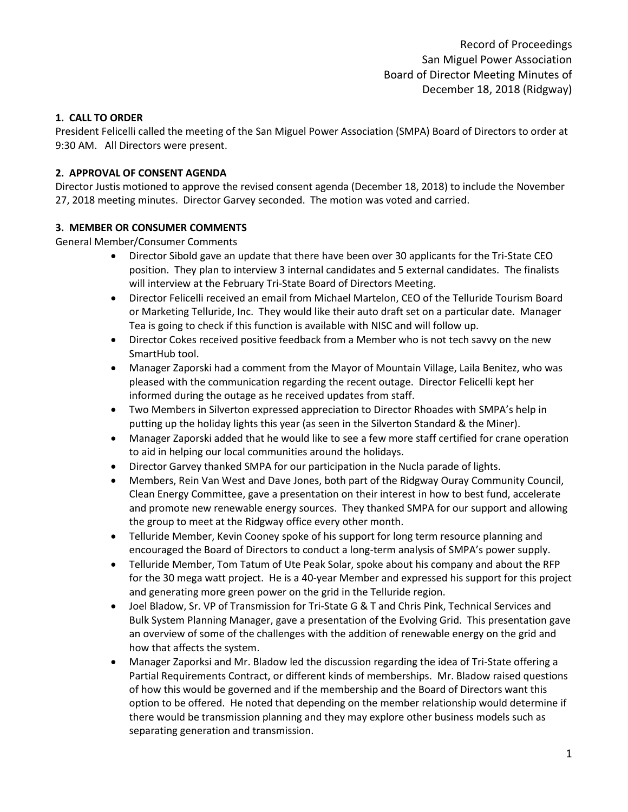# **1. CALL TO ORDER**

President Felicelli called the meeting of the San Miguel Power Association (SMPA) Board of Directors to order at 9:30 AM. All Directors were present.

#### **2. APPROVAL OF CONSENT AGENDA**

Director Justis motioned to approve the revised consent agenda (December 18, 2018) to include the November 27, 2018 meeting minutes. Director Garvey seconded. The motion was voted and carried.

# **3. MEMBER OR CONSUMER COMMENTS**

General Member/Consumer Comments

- Director Sibold gave an update that there have been over 30 applicants for the Tri-State CEO position. They plan to interview 3 internal candidates and 5 external candidates. The finalists will interview at the February Tri-State Board of Directors Meeting.
- Director Felicelli received an email from Michael Martelon, CEO of the Telluride Tourism Board or Marketing Telluride, Inc. They would like their auto draft set on a particular date. Manager Tea is going to check if this function is available with NISC and will follow up.
- Director Cokes received positive feedback from a Member who is not tech savvy on the new SmartHub tool.
- Manager Zaporski had a comment from the Mayor of Mountain Village, Laila Benitez, who was pleased with the communication regarding the recent outage. Director Felicelli kept her informed during the outage as he received updates from staff.
- Two Members in Silverton expressed appreciation to Director Rhoades with SMPA's help in putting up the holiday lights this year (as seen in the Silverton Standard & the Miner).
- Manager Zaporski added that he would like to see a few more staff certified for crane operation to aid in helping our local communities around the holidays.
- Director Garvey thanked SMPA for our participation in the Nucla parade of lights.
- Members, Rein Van West and Dave Jones, both part of the Ridgway Ouray Community Council, Clean Energy Committee, gave a presentation on their interest in how to best fund, accelerate and promote new renewable energy sources. They thanked SMPA for our support and allowing the group to meet at the Ridgway office every other month.
- Telluride Member, Kevin Cooney spoke of his support for long term resource planning and encouraged the Board of Directors to conduct a long-term analysis of SMPA's power supply.
- Telluride Member, Tom Tatum of Ute Peak Solar, spoke about his company and about the RFP for the 30 mega watt project. He is a 40-year Member and expressed his support for this project and generating more green power on the grid in the Telluride region.
- Joel Bladow, Sr. VP of Transmission for Tri-State G & T and Chris Pink, Technical Services and Bulk System Planning Manager, gave a presentation of the Evolving Grid. This presentation gave an overview of some of the challenges with the addition of renewable energy on the grid and how that affects the system.
- Manager Zaporksi and Mr. Bladow led the discussion regarding the idea of Tri-State offering a Partial Requirements Contract, or different kinds of memberships. Mr. Bladow raised questions of how this would be governed and if the membership and the Board of Directors want this option to be offered. He noted that depending on the member relationship would determine if there would be transmission planning and they may explore other business models such as separating generation and transmission.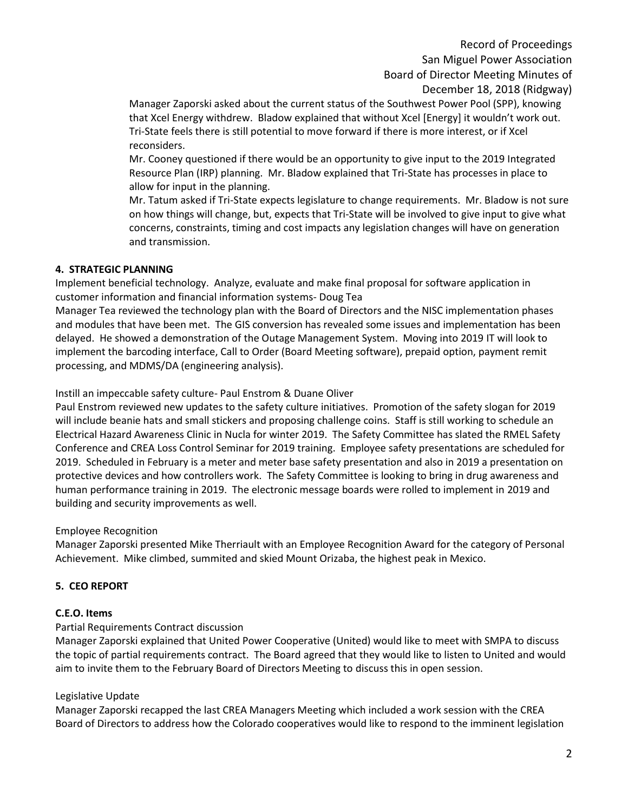Record of Proceedings San Miguel Power Association Board of Director Meeting Minutes of December 18, 2018 (Ridgway)

Manager Zaporski asked about the current status of the Southwest Power Pool (SPP), knowing that Xcel Energy withdrew. Bladow explained that without Xcel [Energy] it wouldn't work out. Tri-State feels there is still potential to move forward if there is more interest, or if Xcel reconsiders.

Mr. Cooney questioned if there would be an opportunity to give input to the 2019 Integrated Resource Plan (IRP) planning. Mr. Bladow explained that Tri-State has processes in place to allow for input in the planning.

Mr. Tatum asked if Tri-State expects legislature to change requirements. Mr. Bladow is not sure on how things will change, but, expects that Tri-State will be involved to give input to give what concerns, constraints, timing and cost impacts any legislation changes will have on generation and transmission.

# **4. STRATEGIC PLANNING**

Implement beneficial technology. Analyze, evaluate and make final proposal for software application in customer information and financial information systems- Doug Tea

Manager Tea reviewed the technology plan with the Board of Directors and the NISC implementation phases and modules that have been met. The GIS conversion has revealed some issues and implementation has been delayed. He showed a demonstration of the Outage Management System. Moving into 2019 IT will look to implement the barcoding interface, Call to Order (Board Meeting software), prepaid option, payment remit processing, and MDMS/DA (engineering analysis).

Instill an impeccable safety culture- Paul Enstrom & Duane Oliver

Paul Enstrom reviewed new updates to the safety culture initiatives. Promotion of the safety slogan for 2019 will include beanie hats and small stickers and proposing challenge coins. Staff is still working to schedule an Electrical Hazard Awareness Clinic in Nucla for winter 2019. The Safety Committee has slated the RMEL Safety Conference and CREA Loss Control Seminar for 2019 training. Employee safety presentations are scheduled for 2019. Scheduled in February is a meter and meter base safety presentation and also in 2019 a presentation on protective devices and how controllers work. The Safety Committee is looking to bring in drug awareness and human performance training in 2019. The electronic message boards were rolled to implement in 2019 and building and security improvements as well.

#### Employee Recognition

Manager Zaporski presented Mike Therriault with an Employee Recognition Award for the category of Personal Achievement. Mike climbed, summited and skied Mount Orizaba, the highest peak in Mexico.

# **5. CEO REPORT**

#### **C.E.O. Items**

# Partial Requirements Contract discussion

Manager Zaporski explained that United Power Cooperative (United) would like to meet with SMPA to discuss the topic of partial requirements contract. The Board agreed that they would like to listen to United and would aim to invite them to the February Board of Directors Meeting to discuss this in open session.

#### Legislative Update

Manager Zaporski recapped the last CREA Managers Meeting which included a work session with the CREA Board of Directors to address how the Colorado cooperatives would like to respond to the imminent legislation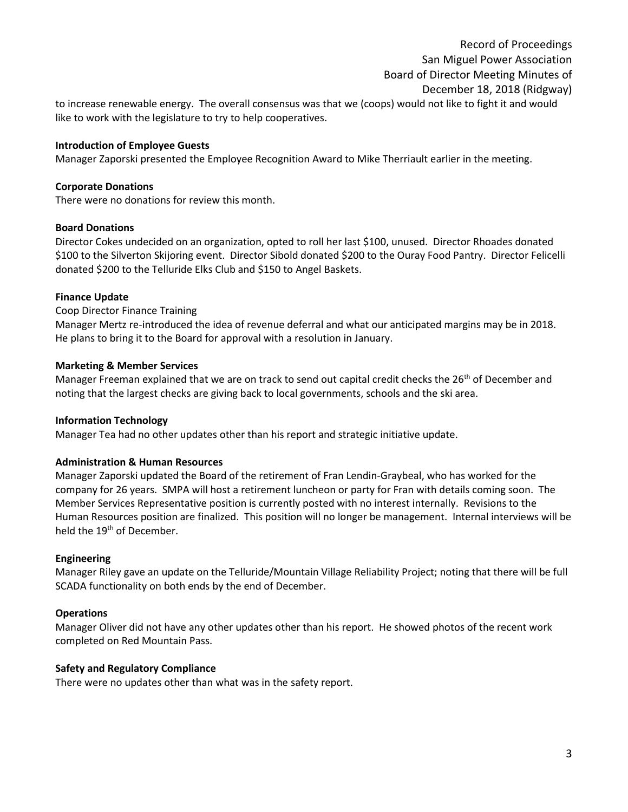# Record of Proceedings San Miguel Power Association Board of Director Meeting Minutes of December 18, 2018 (Ridgway)

to increase renewable energy. The overall consensus was that we (coops) would not like to fight it and would like to work with the legislature to try to help cooperatives.

#### **Introduction of Employee Guests**

Manager Zaporski presented the Employee Recognition Award to Mike Therriault earlier in the meeting.

#### **Corporate Donations**

There were no donations for review this month.

#### **Board Donations**

Director Cokes undecided on an organization, opted to roll her last \$100, unused. Director Rhoades donated \$100 to the Silverton Skijoring event. Director Sibold donated \$200 to the Ouray Food Pantry. Director Felicelli donated \$200 to the Telluride Elks Club and \$150 to Angel Baskets.

#### **Finance Update**

Coop Director Finance Training Manager Mertz re-introduced the idea of revenue deferral and what our anticipated margins may be in 2018. He plans to bring it to the Board for approval with a resolution in January.

#### **Marketing & Member Services**

Manager Freeman explained that we are on track to send out capital credit checks the  $26<sup>th</sup>$  of December and noting that the largest checks are giving back to local governments, schools and the ski area.

#### **Information Technology**

Manager Tea had no other updates other than his report and strategic initiative update.

#### **Administration & Human Resources**

Manager Zaporski updated the Board of the retirement of Fran Lendin-Graybeal, who has worked for the company for 26 years. SMPA will host a retirement luncheon or party for Fran with details coming soon. The Member Services Representative position is currently posted with no interest internally. Revisions to the Human Resources position are finalized. This position will no longer be management. Internal interviews will be held the 19<sup>th</sup> of December.

#### **Engineering**

Manager Riley gave an update on the Telluride/Mountain Village Reliability Project; noting that there will be full SCADA functionality on both ends by the end of December.

#### **Operations**

Manager Oliver did not have any other updates other than his report. He showed photos of the recent work completed on Red Mountain Pass.

#### **Safety and Regulatory Compliance**

There were no updates other than what was in the safety report.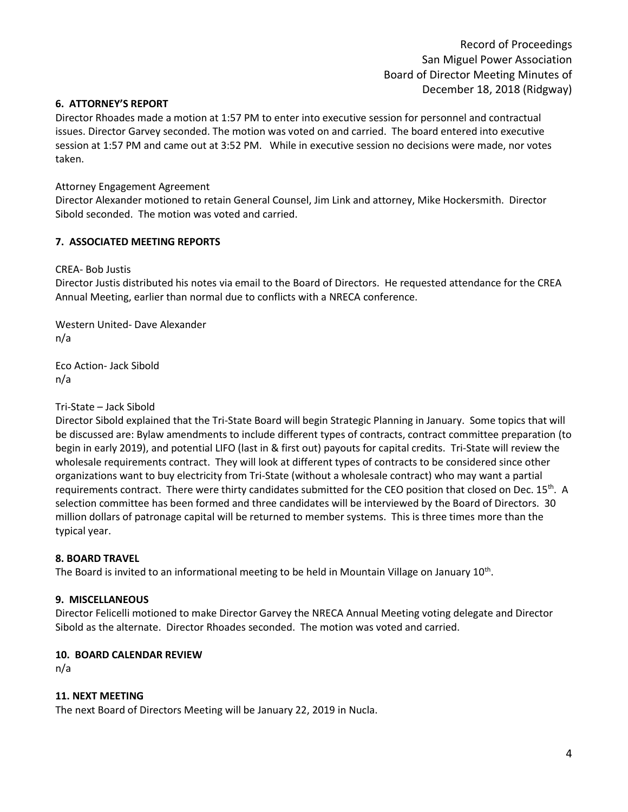#### **6. ATTORNEY'S REPORT**

Director Rhoades made a motion at 1:57 PM to enter into executive session for personnel and contractual issues. Director Garvey seconded. The motion was voted on and carried. The board entered into executive session at 1:57 PM and came out at 3:52 PM. While in executive session no decisions were made, nor votes taken.

## Attorney Engagement Agreement

Director Alexander motioned to retain General Counsel, Jim Link and attorney, Mike Hockersmith. Director Sibold seconded. The motion was voted and carried.

# **7. ASSOCIATED MEETING REPORTS**

CREA- Bob Justis

Director Justis distributed his notes via email to the Board of Directors. He requested attendance for the CREA Annual Meeting, earlier than normal due to conflicts with a NRECA conference.

Western United- Dave Alexander n/a

Eco Action- Jack Sibold n/a

## Tri-State – Jack Sibold

Director Sibold explained that the Tri-State Board will begin Strategic Planning in January. Some topics that will be discussed are: Bylaw amendments to include different types of contracts, contract committee preparation (to begin in early 2019), and potential LIFO (last in & first out) payouts for capital credits. Tri-State will review the wholesale requirements contract. They will look at different types of contracts to be considered since other organizations want to buy electricity from Tri-State (without a wholesale contract) who may want a partial requirements contract. There were thirty candidates submitted for the CEO position that closed on Dec. 15<sup>th</sup>. A selection committee has been formed and three candidates will be interviewed by the Board of Directors. 30 million dollars of patronage capital will be returned to member systems. This is three times more than the typical year.

#### **8. BOARD TRAVEL**

The Board is invited to an informational meeting to be held in Mountain Village on January 10<sup>th</sup>.

#### **9. MISCELLANEOUS**

Director Felicelli motioned to make Director Garvey the NRECA Annual Meeting voting delegate and Director Sibold as the alternate. Director Rhoades seconded. The motion was voted and carried.

#### **10. BOARD CALENDAR REVIEW**

n/a

#### **11. NEXT MEETING**

The next Board of Directors Meeting will be January 22, 2019 in Nucla.